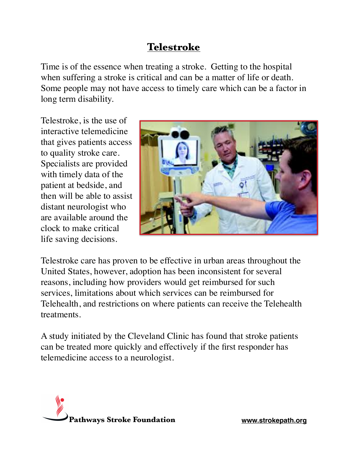## **Telestroke**

Time is of the essence when treating a stroke. Getting to the hospital when suffering a stroke is critical and can be a matter of life or death. Some people may not have access to timely care which can be a factor in long term disability.

Telestroke, is the use of interactive telemedicine that gives patients access to quality stroke care. Specialists are provided with timely data of the patient at bedside, and then will be able to assist distant neurologist who are available around the clock to make critical life saving decisions.



Telestroke care has proven to be effective in urban areas throughout the United States, however, adoption has been inconsistent for several reasons, including how providers would get reimbursed for such services, limitations about which services can be reimbursed for Telehealth, and restrictions on where patients can receive the Telehealth treatments.

A study initiated by the Cleveland Clinic has found that stroke patients can be treated more quickly and effectively if the first responder has telemedicine access to a neurologist.

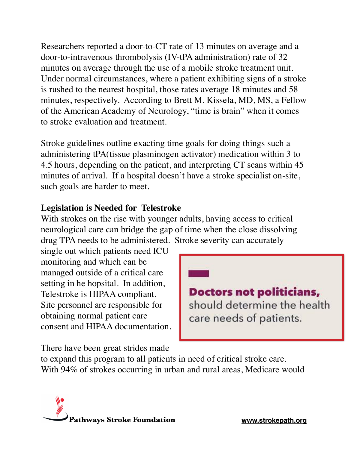Researchers reported a door-to-CT rate of 13 minutes on average and a door-to-intravenous thrombolysis (IV-tPA administration) rate of 32 minutes on average through the use of a mobile stroke treatment unit. Under normal circumstances, where a patient exhibiting signs of a stroke is rushed to the nearest hospital, those rates average 18 minutes and 58 minutes, respectively. According to Brett M. Kissela, MD, MS, a Fellow of the American Academy of Neurology, "time is brain" when it comes to stroke evaluation and treatment.

Stroke guidelines outline exacting time goals for doing things such a administering tPA(tissue plasminogen activator) medication within 3 to 4.5 hours, depending on the patient, and interpreting CT scans within 45 minutes of arrival. If a hospital doesn't have a stroke specialist on-site, such goals are harder to meet.

## **Legislation is Needed for Telestroke**

With strokes on the rise with younger adults, having access to critical neurological care can bridge the gap of time when the close dissolving drug TPA needs to be administered. Stroke severity can accurately

single out which patients need ICU monitoring and which can be managed outside of a critical care setting in he hopsital. In addition, Telestroke is HIPAA compliant. Site personnel are responsible for obtaining normal patient care consent and HIPAA documentation.

**Doctors not politicians,** should determine the health care needs of patients.

There have been great strides made

to expand this program to all patients in need of critical stroke care. With 94% of strokes occurring in urban and rural areas, Medicare would